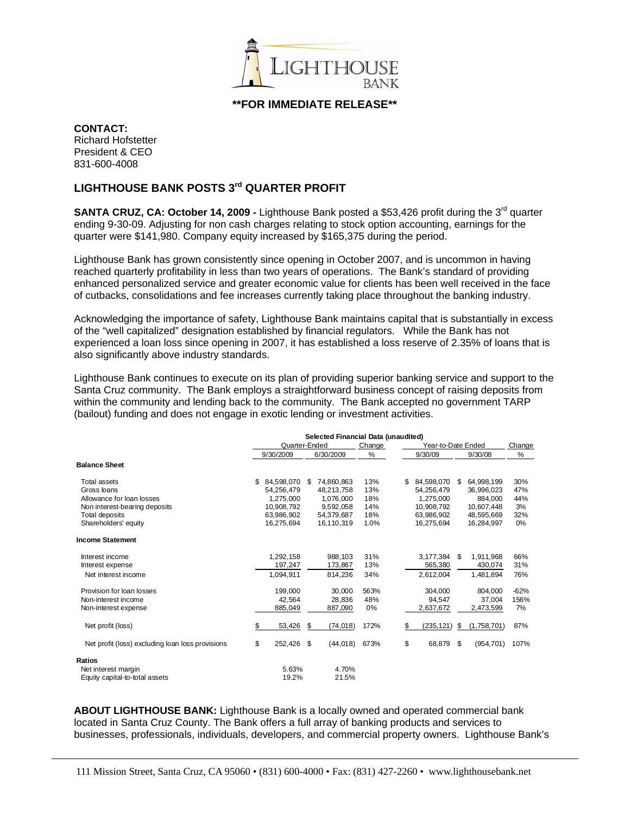

**\*\*FOR IMMEDIATE RELEASE\*\***

**CONTACT:** 

Richard Hofstetter President & CEO 831-600-4008

## **LIGHTHOUSE BANK POSTS 3rd QUARTER PROFIT**

**SANTA CRUZ, CA: October 14, 2009 -** Lighthouse Bank posted a \$53,426 profit during the 3<sup>rd</sup> quarter ending 9-30-09. Adjusting for non cash charges relating to stock option accounting, earnings for the quarter were \$141,980. Company equity increased by \$165,375 during the period.

Lighthouse Bank has grown consistently since opening in October 2007, and is uncommon in having reached quarterly profitability in less than two years of operations. The Bank's standard of providing enhanced personalized service and greater economic value for clients has been well received in the face of cutbacks, consolidations and fee increases currently taking place throughout the banking industry.

Acknowledging the importance of safety, Lighthouse Bank maintains capital that is substantially in excess of the "well capitalized" designation established by financial regulators. While the Bank has not experienced a loan loss since opening in 2007, it has established a loss reserve of 2.35% of loans that is also significantly above industry standards.

Lighthouse Bank continues to execute on its plan of providing superior banking service and support to the Santa Cruz community. The Bank employs a straightforward business concept of raising deposits from within the community and lending back to the community. The Bank accepted no government TARP (bailout) funding and does not engage in exotic lending or investment activities.

|                                                  |    | Selected Financial Data (unaudited) |    |            |             |    |                    |     |             |        |  |
|--------------------------------------------------|----|-------------------------------------|----|------------|-------------|----|--------------------|-----|-------------|--------|--|
|                                                  |    | Quarter-Ended                       |    |            | Change<br>% |    | Year-to-Date Ended |     |             |        |  |
|                                                  |    | 9/30/2009                           |    | 6/30/2009  |             |    | 9/30/09            |     | 9/30/08     | %      |  |
| <b>Balance Sheet</b>                             |    |                                     |    |            |             |    |                    |     |             |        |  |
| Total assets                                     | \$ | 84,598,070                          | S. | 74,860,863 | 13%         | S. | 84,598,070         | \$. | 64,998,199  | 30%    |  |
| Gross loans                                      |    | 54.256.479                          |    | 48,213,758 | 13%         |    | 54,256,479         |     | 36,996,023  | 47%    |  |
| Allowance for loan losses                        |    | 1.275.000                           |    | 1.076.000  | 18%         |    | 1.275.000          |     | 884.000     | 44%    |  |
| Non interest-bearing deposits                    |    | 10,908,792                          |    | 9,592,058  | 14%         |    | 10,908,792         |     | 10,607,448  | 3%     |  |
| Total deposits                                   |    | 63.986.902                          |    | 54.379.687 | 18%         |    | 63.986.902         |     | 48.595.669  | 32%    |  |
| Shareholders' equity                             |    | 16.275.694                          |    | 16.110.319 | 1.0%        |    | 16,275,694         |     | 16,284,997  | 0%     |  |
| <b>Income Statement</b>                          |    |                                     |    |            |             |    |                    |     |             |        |  |
| Interest income                                  |    | 1,292,158                           |    | 988,103    | 31%         |    | 3,177,384          | \$  | 1,911,968   | 66%    |  |
| Interest expense                                 |    | 197,247                             |    | 173,867    | 13%         |    | 565,380            |     | 430,074     | 31%    |  |
| Net interest income                              |    | 1,094,911                           |    | 814.236    | 34%         |    | 2,612,004          |     | 1.481.894   | 76%    |  |
| Provision for loan losses                        |    | 199.000                             |    | 30.000     | 563%        |    | 304.000            |     | 804.000     | $-62%$ |  |
| Non-interest income                              |    | 42.564                              |    | 28.836     | 48%         |    | 94.547             |     | 37.004      | 156%   |  |
| Non-interest expense                             |    | 885,049                             |    | 887,090    | 0%          |    | 2,637,672          |     | 2,473,599   | 7%     |  |
| Net profit (loss)                                | \$ | 53,426                              | \$ | (74, 018)  | 172%        | \$ | (235, 121)         | \$  | (1,758,701) | 87%    |  |
| Net profit (loss) excluding loan loss provisions | \$ | 252,426                             | \$ | (44, 018)  | 673%        | \$ | 68,879             | \$  | (954, 701)  | 107%   |  |
| Ratios                                           |    |                                     |    |            |             |    |                    |     |             |        |  |
| Net interest margin                              |    | 5.63%                               |    | 4.70%      |             |    |                    |     |             |        |  |
| Equity capital-to-total assets                   |    | 19.2%                               |    | 21.5%      |             |    |                    |     |             |        |  |

**ABOUT LIGHTHOUSE BANK:** Lighthouse Bank is a locally owned and operated commercial bank located in Santa Cruz County. The Bank offers a full array of banking products and services to businesses, professionals, individuals, developers, and commercial property owners. Lighthouse Bank's